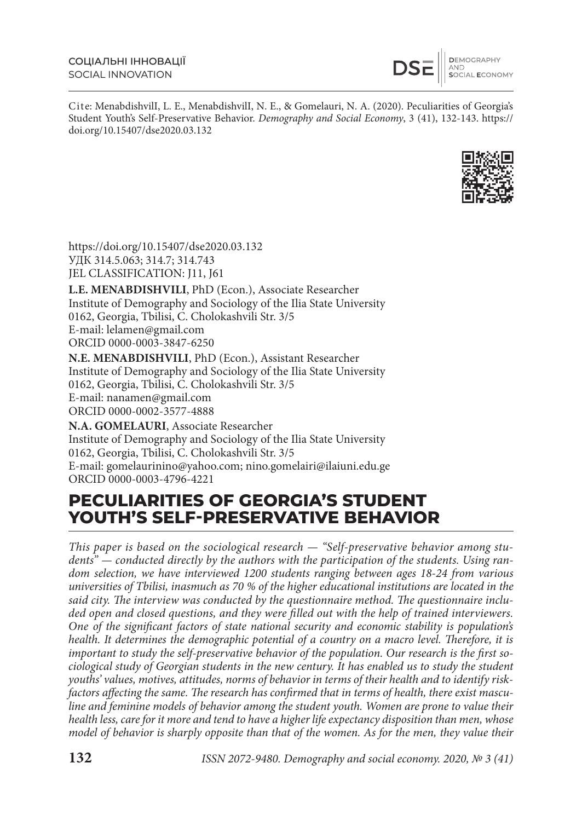**DEMOGRAPHY<br>AND<br>SOCIAL ECONOMY** 

Cite: MenabdishvilI, L. E., MenabdishvilI, N. E., & Gomelauri, N. A. (2020). Peculiarities of Georgia's Student Youth's Self-Preservative Behavior. Demography and Social Economy, 3 (41), 132-143. https:// doi.org/10.15407/dse2020.03.132



https://doi.org/10.15407/dse2020.03.132 УДК 314.5.063; 314.7; 314.743 JEL CLASSIFICATION: J11, J61

**L.E. MENABDISHVILI**, PhD (Econ.), Associate Researcher Institute of Demography and Sociology of the Ilia State University 0162, Georgia, Tbilisi, C. Cholokashvili Str. 3/5 E-mail: lelamen@gmail.com ORCID 0000-0003-3847-6250 **N.E. MENABDISHVILI**, PhD (Econ.), Assistant Researcher

Institute of Demography and Sociology of the Ilia State University 0162, Georgia, Tbilisi, C. Cholokashvili Str. 3/5 E-mail: nanamen@gmail.com ORCID 0000-0002-3577-4888

**N.A. GOMELAURI**, Associate Researcher Institute of Demography and Sociology of the Ilia State University 0162, Georgia, Tbilisi, C. Cholokashvili Str. 3/5 E-mail: gomelaurinino@yahoo.com; nino.gomelairi@ilaiuni.edu.ge ORCID 0000-0003-4796-4221

## **PECULIARITIES OF GEORGIA'S STUDENT YOUTH'S SELF-PRESERVATIVE BEHAVIOR**

This paper is based on the sociological research — "Self-preservative behavior among students" — conducted directly by the authors with the participation of the students. Using random selection, we have interviewed 1200 students ranging between ages 18-24 from various universities of Tbilisi, inasmuch as 70 % of the higher educational institutions are located in the said city. The interview was conducted by the questionnaire method. The questionnaire included open and closed questions, and they were filled out with the help of trained interviewers. One of the significant factors of state national security and economic stability is population's health. It determines the demographic potential of a country on a macro level. Therefore, it is important to study the self-preservative behavior of the population. Our research is the first sociological study of Georgian students in the new century. It has enabled us to study the student youths' values, motives, attitudes, norms of behavior in terms of their health and to identify riskfactors affecting the same. The research has confirmed that in terms of health, there exist masculine and feminine models of behavior among the student youth. Women are prone to value their health less, care for it more and tend to have a higher life expectancy disposition than men, whose model of behavior is sharply opposite than that of the women. As for the men, they value their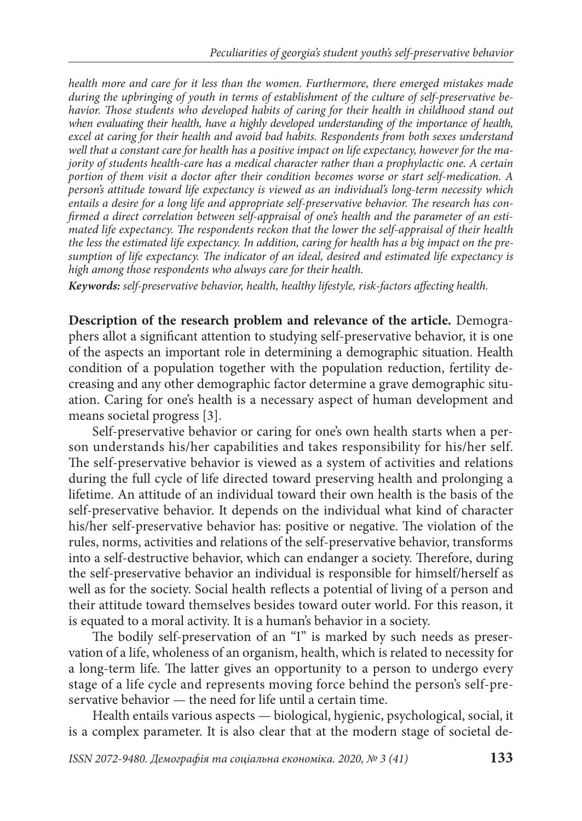health more and care for it less than the women. Furthermore, there emerged mistakes made during the upbringing of youth in terms of establishment of the culture of self-preservative behavior. Those students who developed habits of caring for their health in childhood stand out when evaluating their health, have a highly developed understanding of the importance of health, excel at caring for their health and avoid bad habits. Respondents from both sexes understand well that a constant care for health has a positive impact on life expectancy, however for the majority of students health-care has a medical character rather than a prophylactic one. A certain portion of them visit a doctor after their condition becomes worse or start self-medication. A person's attitude toward life expectancy is viewed as an individual's long-term necessity which entails a desire for a long life and appropriate self-preservative behavior. The research has confirmed a direct correlation between self-appraisal of one's health and the parameter of an estimated life expectancy. The respondents reckon that the lower the self-appraisal of their health the less the estimated life expectancy. In addition, caring for health has a big impact on the presumption of life expectancy. The indicator of an ideal, desired and estimated life expectancy is high among those respondents who always care for their health.

Keywords: self-preservative behavior, health, healthy lifestyle, risk-factors affecting health.

**Description of the research problem and relevance of the article.** Demographers allot a significant attention to studying self-preservative behavior, it is one of the aspects an important role in determining a demographic situation. Health condition of a population together with the population reduction, fertility decreasing and any other demographic factor determine a grave demographic situation. Caring for one's health is a necessary aspect of human development and means societal progress [3].

Self-preservative behavior or caring for one's own health starts when a person understands his/her capabilities and takes responsibility for his/her self. The self-preservative behavior is viewed as a system of activities and relations during the full cycle of life directed toward preserving health and prolonging a lifetime. An attitude of an individual toward their own health is the basis of the self-preservative behavior. It depends on the individual what kind of character his/her self-preservative behavior has: positive or negative. The violation of the rules, norms, activities and relations of the self-preservative behavior, transforms into a self-destructive behavior, which can endanger a society. Therefore, during the self-preservative behavior an individual is responsible for himself/herself as well as for the society. Social health reflects a potential of living of a person and their attitude toward themselves besides toward outer world. For this reason, it is equated to a moral activity. It is a human's behavior in a society.

The bodily self-preservation of an "I" is marked by such needs as preservation of a life, wholeness of an organism, health, which is related to necessity for a long-term life. The latter gives an opportunity to a person to undergo every stage of a life cycle and represents moving force behind the person's self-preservative behavior — the need for life until a certain time.

Health entails various aspects — biological, hygienic, psychological, social, it is a complex parameter. It is also clear that at the modern stage of societal de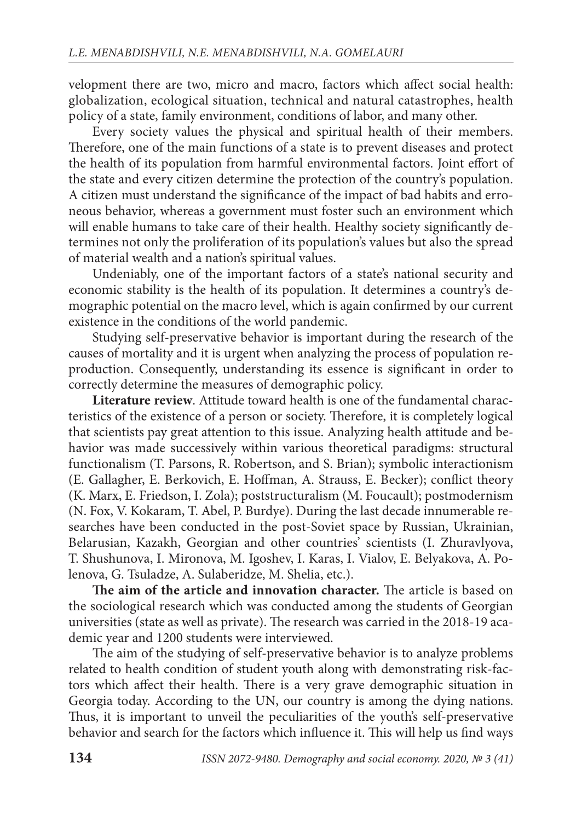velopment there are two, micro and macro, factors which affect social health: globalization, ecological situation, technical and natural catastrophes, health policy of a state, family environment, conditions of labor, and many other.

Every society values the physical and spiritual health of their members. Therefore, one of the main functions of a state is to prevent diseases and protect the health of its population from harmful environmental factors. Joint effort of the state and every citizen determine the protection of the country's population. A citizen must understand the significance of the impact of bad habits and erroneous behavior, whereas a government must foster such an environment which will enable humans to take care of their health. Healthy society significantly determines not only the proliferation of its population's values but also the spread of material wealth and a nation's spiritual values.

Undeniably, one of the important factors of a state's national security and economic stability is the health of its population. It determines a country's demographic potential on the macro level, which is again confirmed by our current existence in the conditions of the world pandemic.

Studying self-preservative behavior is important during the research of the causes of mortality and it is urgent when analyzing the process of population reproduction. Consequently, understanding its essence is significant in order to correctly determine the measures of demographic policy.

**Literature review.** Attitude toward health is one of the fundamental characteristics of the existence of a person or society. Therefore, it is completely logical that scientists pay great attention to this issue. Analyzing health attitude and behavior was made successively within various theoretical paradigms: structural functionalism (T. Parsons, R. Robertson, and S. Brian); symbolic interactionism (E. Gallagher, E. Berkovich, E. Hoffman, A. Strauss, E. Becker); conflict theory (K. Marx, E. Friedson, I. Zola); poststructuralism (M. Foucault); postmodernism (N. Fox, V. Kokaram, T. Abel, P. Burdye). During the last decade innumerable researches have been conducted in the post-Soviet space by Russian, Ukrainian, Belarusian, Kazakh, Georgian and other countries' scientists (I. Zhuravlyova, T. Shushunova, I. Mironova, M. Igoshev, I. Karas, I. Vialov, E. Belyakova, A. Polenova, G. Tsuladze, A. Sulaberidze, M. Shelia, etc.).

**The aim of the article and innovation character.** The article is based on the sociological research which was conducted among the students of Georgian universities (state as well as private). The research was carried in the 2018-19 academic year and 1200 students were interviewed.

The aim of the studying of self-preservative behavior is to analyze problems related to health condition of student youth along with demonstrating risk-factors which affect their health. There is a very grave demographic situation in Georgia today. According to the UN, our country is among the dying nations. Thus, it is important to unveil the peculiarities of the youth's self-preservative behavior and search for the factors which influence it. This will help us find ways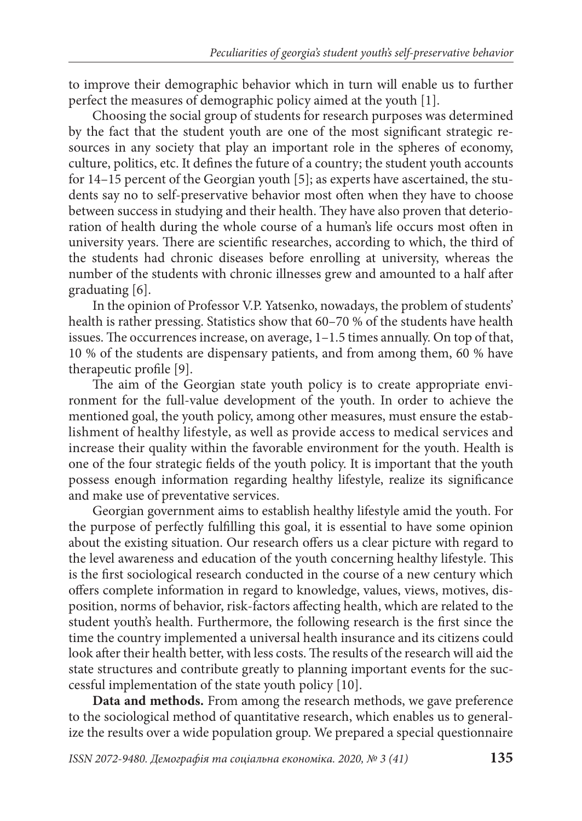to improve their demographic behavior which in turn will enable us to further perfect the measures of demographic policy aimed at the youth [1].

Choosing the social group of students for research purposes was determined by the fact that the student youth are one of the most significant strategic resources in any society that play an important role in the spheres of economy, culture, politics, etc. It defines the future of a country; the student youth accounts for 14–15 percent of the Georgian youth [5]; as experts have ascertained, the students say no to self-preservative behavior most often when they have to choose between success in studying and their health. They have also proven that deterioration of health during the whole course of a human's life occurs most often in university years. There are scientific researches, according to which, the third of the students had chronic diseases before enrolling at university, whereas the number of the students with chronic illnesses grew and amounted to a half after graduating [6].

In the opinion of Professor V.P. Yatsenko, nowadays, the problem of students' health is rather pressing. Statistics show that 60–70 % of the students have health issues. The occurrences increase, on average,  $1-1.5$  times annually. On top of that, 10 % of the students are dispensary patients, and from among them, 60 % have therapeutic profile  $[9]$ .

The aim of the Georgian state youth policy is to create appropriate environment for the full-value development of the youth. In order to achieve the mentioned goal, the youth policy, among other measures, must ensure the establishment of healthy lifestyle, as well as provide access to medical services and increase their quality within the favorable environment for the youth. Health is one of the four strategic fields of the youth policy. It is important that the youth possess enough information regarding healthy lifestyle, realize its significance and make use of preventative services.

Georgian government aims to establish healthy lifestyle amid the youth. For the purpose of perfectly fulfilling this goal, it is essential to have some opinion about the existing situation. Our research offers us a clear picture with regard to the level awareness and education of the youth concerning healthy lifestyle. This is the first sociological research conducted in the course of a new century which offers complete information in regard to knowledge, values, views, motives, disposition, norms of behavior, risk-factors affecting health, which are related to the student youth's health. Furthermore, the following research is the first since the time the country implemented a universal health insurance and its citizens could look after their health better, with less costs. The results of the research will aid the state structures and contribute greatly to planning important events for the successful implementation of the state youth policy [10].

**Data and methods.** From among the research methods, we gave preference to the sociological method of quantitative research, which enables us to generalize the results over a wide population group. We prepared a special questionnaire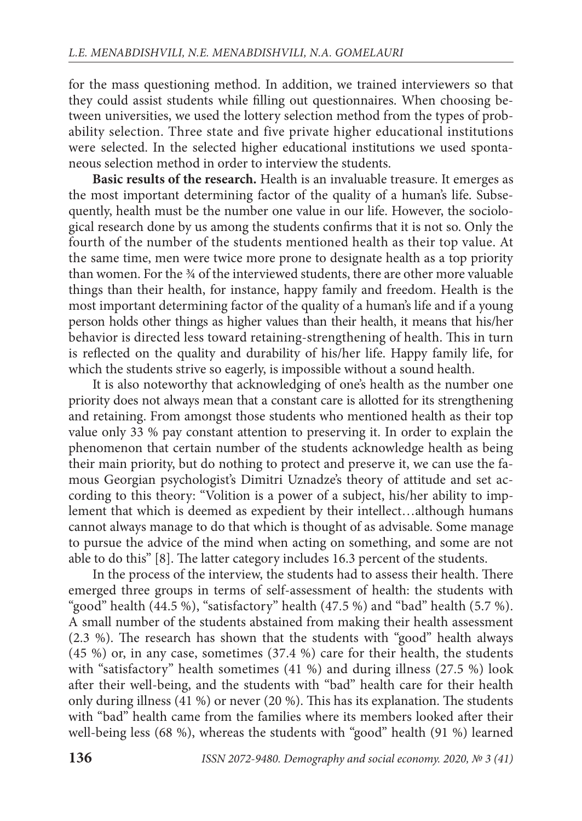for the mass questioning method. In addition, we trained interviewers so that they could assist students while filling out questionnaires. When choosing between universities, we used the lottery selection method from the types of probability selection. Three state and five private higher educational institutions were selected. In the selected higher educational institutions we used spontaneous selection method in order to interview the students.

**Basic results of the research.** Health is an invaluable treasure. It emerges as the most important determining factor of the quality of a human's life. Subsequently, health must be the number one value in our life. However, the sociological research done by us among the students confirms that it is not so. Only the fourth of the number of the students mentioned health as their top value. At the same time, men were twice more prone to designate health as a top priority than women. For the 34 of the interviewed students, there are other more valuable things than their health, for instance, happy family and freedom. Health is the most important determining factor of the quality of a human's life and if a young person holds other things as higher values than their health, it means that his/her behavior is directed less toward retaining-strengthening of health. This in turn is reflected on the quality and durability of his/her life. Happy family life, for which the students strive so eagerly, is impossible without a sound health.

It is also noteworthy that acknowledging of one's health as the number one priority does not always mean that a constant care is allotted for its strengthening and retaining. From amongst those students who mentioned health as their top value only 33 % pay constant attention to preserving it. In order to explain the phenomenon that certain number of the students acknowledge health as being their main priority, but do nothing to protect and preserve it, we can use the famous Georgian psychologist's Dimitri Uznadze's theory of attitude and set according to this theory: "Volition is a power of a subject, his/her ability to implement that which is deemed as expedient by their intellect…although humans cannot always manage to do that which is thought of as advisable. Some manage to pursue the advice of the mind when acting on something, and some are not able to do this" [8]. The latter category includes 16.3 percent of the students.

In the process of the interview, the students had to assess their health. There emerged three groups in terms of self-assessment of health: the students with "good" health (44.5 %), "satisfactory" health (47.5 %) and "bad" health (5.7 %). A small number of the students abstained from making their health assessment (2.3 %). The research has shown that the students with "good" health always (45 %) or, in any case, sometimes (37.4 %) care for their health, the students with "satisfactory" health sometimes (41 %) and during illness (27.5 %) look after their well-being, and the students with "bad" health care for their health only during illness  $(41\%)$  or never  $(20\%)$ . This has its explanation. The students with "bad" health came from the families where its members looked after their well-being less (68 %), whereas the students with "good" health (91 %) learned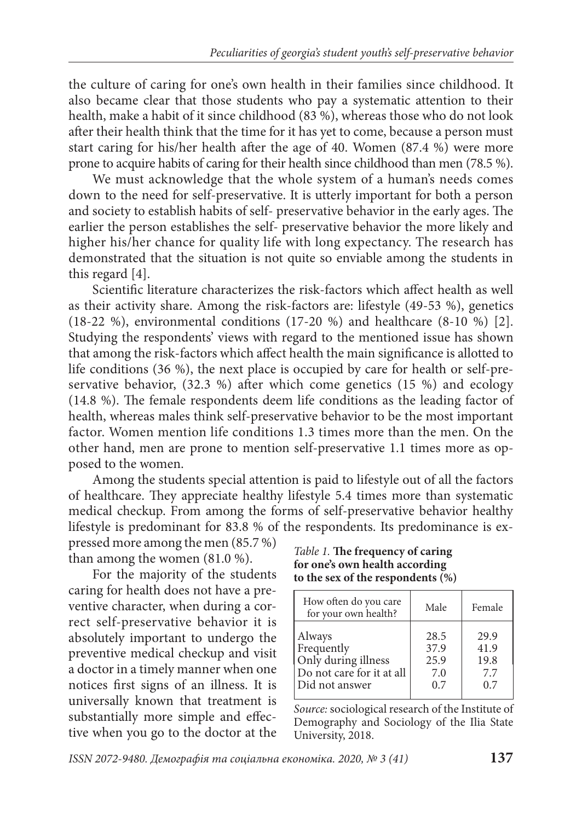the culture of caring for one's own health in their families since childhood. It also became clear that those students who pay a systematic attention to their health, make a habit of it since childhood (83 %), whereas those who do not look after their health think that the time for it has yet to come, because a person must start caring for his/her health after the age of 40. Women (87.4 %) were more prone to acquire habits of caring for their health since childhood than men (78.5 %).

We must acknowledge that the whole system of a human's needs comes down to the need for self-preservative. It is utterly important for both a person and society to establish habits of self- preservative behavior in the early ages. The earlier the person establishes the self- preservative behavior the more likely and higher his/her chance for quality life with long expectancy. The research has demonstrated that the situation is not quite so enviable among the students in this regard [4].

Scientific literature characterizes the risk-factors which affect health as well as their activity share. Among the risk-factors are: lifestyle (49-53 %), genetics (18-22 %), environmental conditions (17-20 %) and healthcare (8-10 %) [2]. Studying the respondents' views with regard to the mentioned issue has shown that among the risk-factors which affect health the main significance is allotted to life conditions (36 %), the next place is occupied by care for health or self-preservative behavior,  $(32.3 \%)$  after which come genetics  $(15 \%)$  and ecology  $(14.8 \%)$ . The female respondents deem life conditions as the leading factor of health, whereas males think self-preservative behavior to be the most important factor. Women mention life conditions 1.3 times more than the men. On the other hand, men are prone to mention self-preservative 1.1 times more as opposed to the women.

Among the students special attention is paid to lifestyle out of all the factors of healthcare. They appreciate healthy lifestyle 5.4 times more than systematic medical checkup. From among the forms of self-preservative behavior healthy lifestyle is predominant for 83.8 % of the respondents. Its predominance is ex-

pressed more among the men (85.7 %) than among the women (81.0 %).

For the majority of the students caring for health does not have a preventive character, when during a correct self-preservative behavior it is ab solutely important to undergo the preventive medical checkup and visit a doctor in a timely manner when one notices first signs of an illness. It is universally known that treatment is substantially more simple and effective when you go to the doctor at the

Table 1. **The frequency of caring for one's own health according to the sex of the respondents (%)**

| How often do you care<br>for your own health? | Male | Female |
|-----------------------------------------------|------|--------|
| Always                                        | 28.5 | 29.9   |
| Frequently                                    | 37.9 | 41.9   |
| Only during illness                           | 25.9 | 19.8   |
| Do not care for it at all                     | 7.0  | 7.7    |
| Did not answer                                | 0.7  | 0.7    |

Source: sociological research of the Institute of Demography and Sociology of the Ilia State University, 2018.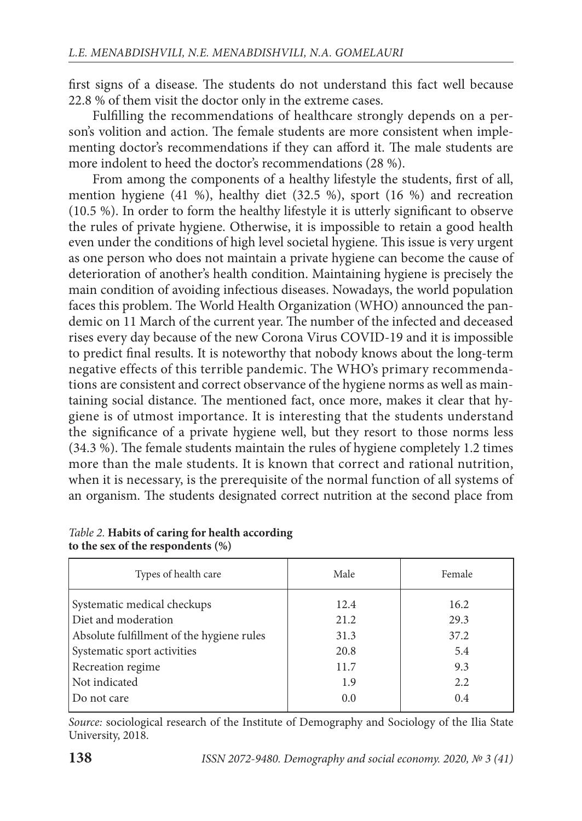first signs of a disease. The students do not understand this fact well because 22.8 % of them visit the doctor only in the extreme cases.

Fulfilling the recommendations of healthcare strongly depends on a person's volition and action. The female students are more consistent when implementing doctor's recommendations if they can afford it. The male students are more indolent to heed the doctor's recommendations (28 %).

From among the components of a healthy lifestyle the students, first of all, mention hygiene (41 %), healthy diet (32.5 %), sport (16 %) and recreation (10.5 %). In order to form the healthy lifestyle it is utterly significant to observe the rules of private hygiene. Otherwise, it is impossible to retain a good health even under the conditions of high level societal hygiene. This issue is very urgent as one person who does not maintain a private hygiene can become the cause of deterioration of another's health condition. Maintaining hygiene is precisely the main condition of avoiding infectious diseases. Nowadays, the world population faces this problem. The World Health Organization (WHO) announced the pandemic on 11 March of the current year. The number of the infected and deceased rises every day because of the new Corona Virus COVID-19 and it is impossible to predict final results. It is noteworthy that nobody knows about the long-term negative effects of this terrible pandemic. The WHO's primary recommendations are consistent and correct observance of the hygiene norms as well as maintaining social distance. The mentioned fact, once more, makes it clear that hygiene is of utmost importance. It is interesting that the students understand the significance of a private hygiene well, but they resort to those norms less  $(34.3 \%)$ . The female students maintain the rules of hygiene completely 1.2 times more than the male students. It is known that correct and rational nutrition, when it is necessary, is the prerequisite of the normal function of all systems of an organism. The students designated correct nutrition at the second place from

| Types of health care                      | Male | Female |
|-------------------------------------------|------|--------|
| Systematic medical checkups               | 12.4 | 16.2   |
| Diet and moderation                       | 21.2 | 29.3   |
| Absolute fulfillment of the hygiene rules | 31.3 | 37.2   |
| Systematic sport activities               | 20.8 | 5.4    |
| Recreation regime                         | 11.7 | 9.3    |
| Not indicated                             | 1.9  | 2.2    |
| Do not care                               | 0.0  | 0.4    |

## Table 2. **Habits of caring for health according to the sex of the respondents (%)**

Source: sociological research of the Institute of Demography and Sociology of the Ilia State University, 2018.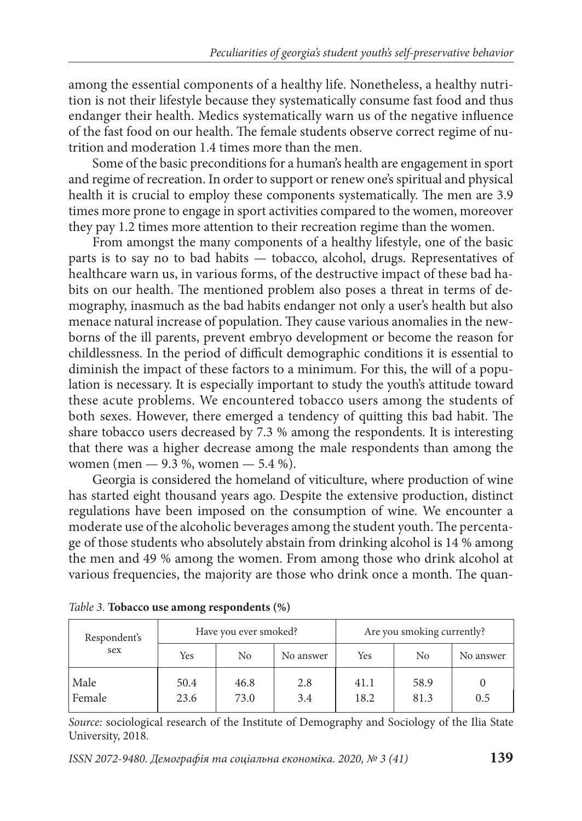among the essential components of a healthy life. Nonetheless, a healthy nutrition is not their lifestyle because they systematically consume fast food and thus endanger their health. Medics systematically warn us of the negative influence of the fast food on our health. The female students observe correct regime of nutrition and moderation 1.4 times more than the men.

Some of the basic preconditions for a human's health are engagement in sport and regime of recreation. In order to support or renew one's spiritual and physical health it is crucial to employ these components systematically. The men are 3.9 times more prone to engage in sport activities compared to the women, moreover they pay 1.2 times more attention to their recreation regime than the women.

From amongst the many components of a healthy lifestyle, one of the basic parts is to say no to bad habits — tobacco, alcohol, drugs. Representatives of health care warn us, in various forms, of the destructive impact of these bad habits on our health. The mentioned problem also poses a threat in terms of demography, inasmuch as the bad habits endanger not only a user's health but also menace natural increase of population. They cause various anomalies in the newborns of the ill parents, prevent embryo development or become the reason for childlessness. In the period of difficult demographic conditions it is essential to diminish the impact of these factors to a minimum. For this, the will of a population is necessary. It is especially important to study the youth's attitude toward these acute problems. We encountered tobacco users among the students of both sexes. However, there emerged a tendency of quitting this bad habit. The share tobacco users decreased by 7.3 % among the respondents. It is interesting that there was a higher decrease among the male respondents than among the women (men — 9.3 %, women — 5.4 %).

Georgia is considered the homeland of viticulture, where production of wine has started eight thousand years ago. Despite the extensive production, distinct regulations have been imposed on the consumption of wine. We encounter a moderate use of the alcoholic beverages among the student youth. The percentage of those students who absolutely abstain from drinking alcohol is 14 % among the men and 49 % among the women. From among those who drink alcohol at various frequencies, the majority are those who drink once a month. The quan-

| Respondent's<br>sex | Have you ever smoked? |              | Are you smoking currently? |              |              |           |
|---------------------|-----------------------|--------------|----------------------------|--------------|--------------|-----------|
|                     | Yes                   | No           | No answer                  | Yes          | No           | No answer |
| Male<br>Female      | 50.4<br>23.6          | 46.8<br>73.0 | 2.8<br>3.4                 | 41.1<br>18.2 | 58.9<br>81.3 | 0.5       |

|  |  |  | Table 3. Tobacco use among respondents (%) |  |
|--|--|--|--------------------------------------------|--|
|--|--|--|--------------------------------------------|--|

Source: sociological research of the Institute of Demography and Sociology of the Ilia State University, 2018.

ISSN 2072-9480. Демографія та соціальна економіка. 2020, № 3 (41) **139**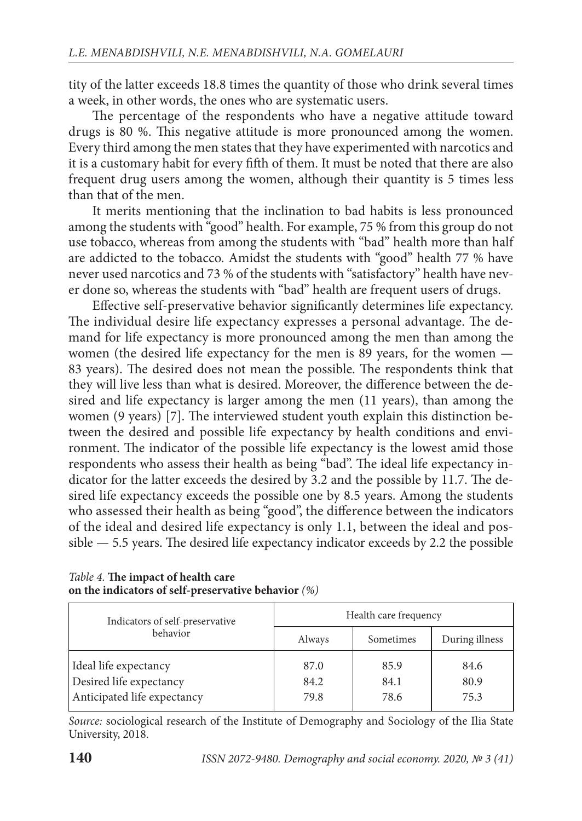tity of the latter exceeds 18.8 times the quantity of those who drink several times a week, in other words, the ones who are systematic users.

The percentage of the respondents who have a negative attitude toward drugs is 80 %. This negative attitude is more pronounced among the women. Every third among the men states that they have experimented with narcotics and it is a customary habit for every fifth of them. It must be noted that there are also frequent drug users among the women, although their quantity is 5 times less than that of the men.

It merits mentioning that the inclination to bad habits is less pronounced among the students with "good" health. For example, 75 % from this group do not use tobacco, whereas from among the students with "bad" health more than half are addicted to the tobacco. Amidst the students with "good" health 77 % have never used narcotics and 73 % of the students with "satisfactory" health have never done so, whereas the students with "bad" health are frequent users of drugs.

Effective self-preservative behavior significantly determines life expectancy. The individual desire life expectancy expresses a personal advantage. The demand for life expectancy is more pronounced among the men than among the women (the desired life expectancy for the men is 89 years, for the women — 83 years). The desired does not mean the possible. The respondents think that they will live less than what is desired. Moreover, the difference between the desired and life expectancy is larger among the men (11 years), than among the women (9 years) [7]. The interviewed student youth explain this distinction between the desired and possible life expectancy by health conditions and environment. The indicator of the possible life expectancy is the lowest amid those respondents who assess their health as being "bad". The ideal life expectancy indicator for the latter exceeds the desired by 3.2 and the possible by 11.7. The desired life expectancy exceeds the possible one by 8.5 years. Among the students who assessed their health as being "good", the difference between the indicators of the ideal and desired life expectancy is only 1.1, between the ideal and pos $sible$   $-$  5.5 years. The desired life expectancy indicator exceeds by 2.2 the possible

| Indicators of self-preservative                        | Health care frequency |              |                |
|--------------------------------------------------------|-----------------------|--------------|----------------|
| behavior                                               | Always                | Sometimes    | During illness |
| Ideal life expectancy                                  | 87.0                  | 85.9         | 84.6           |
| Desired life expectancy<br>Anticipated life expectancy | 84.2<br>79.8          | 84.1<br>78.6 | 80.9<br>75.3   |

## Table 4. The impact of health care **on the indicators of self-preservative behavior** (%)

Source: sociological research of the Institute of Demography and Sociology of the Ilia State University, 2018.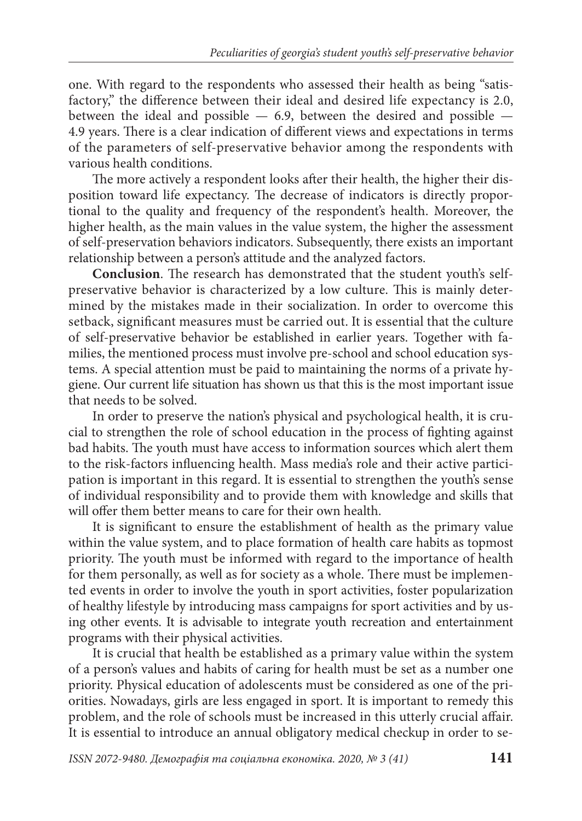one. With regard to the respondents who assessed their health as being "satisfactory," the difference between their ideal and desired life expectancy is 2.0, between the ideal and possible  $-6.9$ , between the desired and possible  $-$ 4.9 years. There is a clear indication of different views and expectations in terms of the parameters of self-preservative behavior among the respondents with various health conditions.

The more actively a respondent looks after their health, the higher their disposition toward life expectancy. The decrease of indicators is directly proportional to the quality and frequency of the respondent's health. Moreover, the higher health, as the main values in the value system, the higher the assessment of self-preservation behaviors indicators. Subsequently, there exists an important relationship between a person's attitude and the analyzed factors.

**Conclusion**. The research has demonstrated that the student youth's selfpreservative behavior is characterized by a low culture. This is mainly determined by the mistakes made in their socialization. In order to overcome this setback, significant measures must be carried out. It is essential that the culture of self-preservative behavior be established in earlier years. Together with families, the mentioned process must involve pre-school and school education systems. A special attention must be paid to maintaining the norms of a private hygiene. Our current life situation has shown us that this is the most important issue that needs to be solved.

In order to preserve the nation's physical and psychological health, it is crucial to strengthen the role of school education in the process of fighting against bad habits. The youth must have access to information sources which alert them to the risk-factors influencing health. Mass media's role and their active participation is important in this regard. It is essential to strengthen the youth's sense of individual responsibility and to provide them with knowledge and skills that will offer them better means to care for their own health.

It is significant to ensure the establishment of health as the primary value within the value system, and to place formation of health care habits as topmost priority. The youth must be informed with regard to the importance of health for them personally, as well as for society as a whole. There must be implemented events in order to involve the youth in sport activities, foster popularization of healthy lifestyle by introducing mass campaigns for sport activities and by using other events. It is advisable to integrate youth recreation and entertainment programs with their physical activities.

It is crucial that health be established as a primary value within the system of a person's values and habits of caring for health must be set as a number one priority. Physical education of adolescents must be considered as one of the priorities. Nowadays, girls are less engaged in sport. It is important to remedy this problem, and the role of schools must be increased in this utterly crucial affair. It is essential to introduce an annual obligatory medical checkup in order to se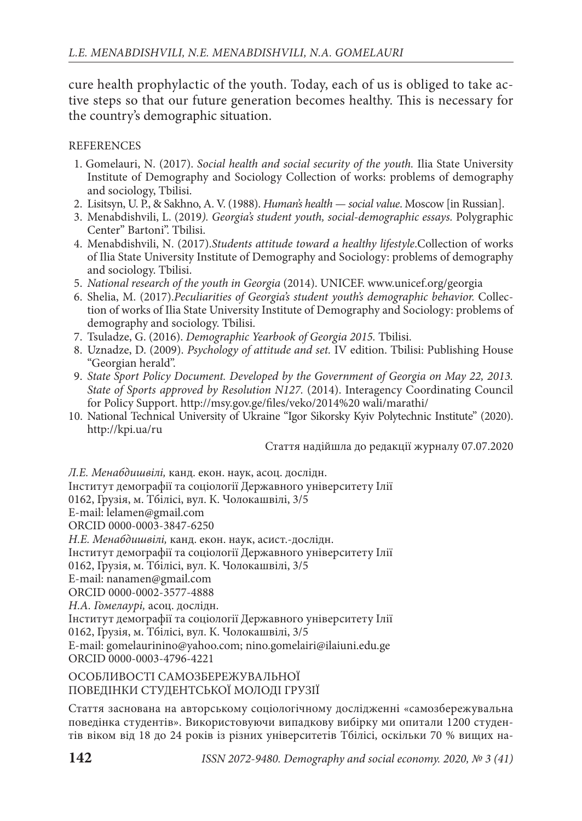cure health prophylactic of the youth. Today, each of us is obliged to take active steps so that our future generation becomes healthy. This is necessary for the country's demographic situation.

## **REFERENCES**

- 1. Gomelauri, N. (2017). Social health and social security of the youth. Ilia State University Institute of Demography and Sociology Collection of works: problems of demography and sociology, Tbilisi.
- 2. Lisitsyn, U. P., & Sakhno, A. V. (1988). Human's health social value. Moscow [in Russian].
- 3. Menabdishvili, L. (2019). Georgia's student youth, social-demographic essays. Polygraphic Center" Bartoni". Tbilisi.
- 4. Menabdishvili, N. (2017).Students attitude toward a healthy lifestyle.Collection of works of Ilia State University Institute of Demography and Sociology: problems of demography and sociology. Tbilisi.
- 5. National research of the youth in Georgia (2014). UNICEF. www.unicef.org/georgia
- 6. Shelia, M. (2017).Peculiarities of Georgia's student youth's demographic behavior. Collection of works of Ilia State University Institute of Demography and Sociology: problems of demography and sociology. Tbilisi.
- 7. Tsuladze, G. (2016). Demographic Yearbook of Georgia 2015. Tbilisi.
- 8. Uznadze, D. (2009). Psychology of attitude and set. IV edition. Tbilisi: Publishing House "Georgian herald".
- 9. State Sport Policy Document. Developed by the Government of Georgia on May 22, 2013. State of Sports approved by Resolution N127. (2014). Interagency Coordinating Council for Policy Support. http://msy.gov.ge/files/veko/2014%20 wali/marathi/
- 10. National Technical University of Ukraine "Igor Sikorsky Kyiv Polytechnic Institute" (2020). http://kpi.ua/ru

Стаття надійшла до редакції журналу 07.07.2020

Л.Е. Менабдишвілі, канд. екон. наук, асоц. дослідн. Інститут демографії та соціології Державного університету Ілії 0162, Грузія, м. Тбілісі, вул. К. Чолокашвілі, 3/5 E-mail: lelamen@gmail.com ORCID 0000-0003-3847-6250 Н.Е. Менабдишвілі, канд. екон. наук, асист.-дослідн. Інститут демографії та соціології Державного університету Ілії 0162, Грузія, м. Тбілісі, вул. К. Чолокашвілі, 3/5 E-mail: nanamen@gmail.com ORCID 0000-0002-3577-4888 Н.А. Гомелаурі, асоц. дослідн. Інститут демографії та соціології Державного університету Ілії 0162, Грузія, м. Тбілісі, вул. К. Чолокашвілі, 3/5 E-mail: gomelaurinino@yahoo.com; nino.gomelairi@ilaiuni.edu.ge ORCID 0000-0003-4796-4221

ОСОБЛИВОСТІ САМОЗБЕРЕЖУВАЛЬНОЇ ПОВЕДІНКИ СТУДЕНТСЬКОЇ МОЛОДІ ГРУЗІЇ

Стаття заснована на авторському соціологічному дослідженні «самозбережувальна по ведінка студентів». Використовуючи випадкову вибірку ми опитали 1200 студентів віком від 18 до 24 років із різних університетів Тбілісі, оскільки 70 % вищих на